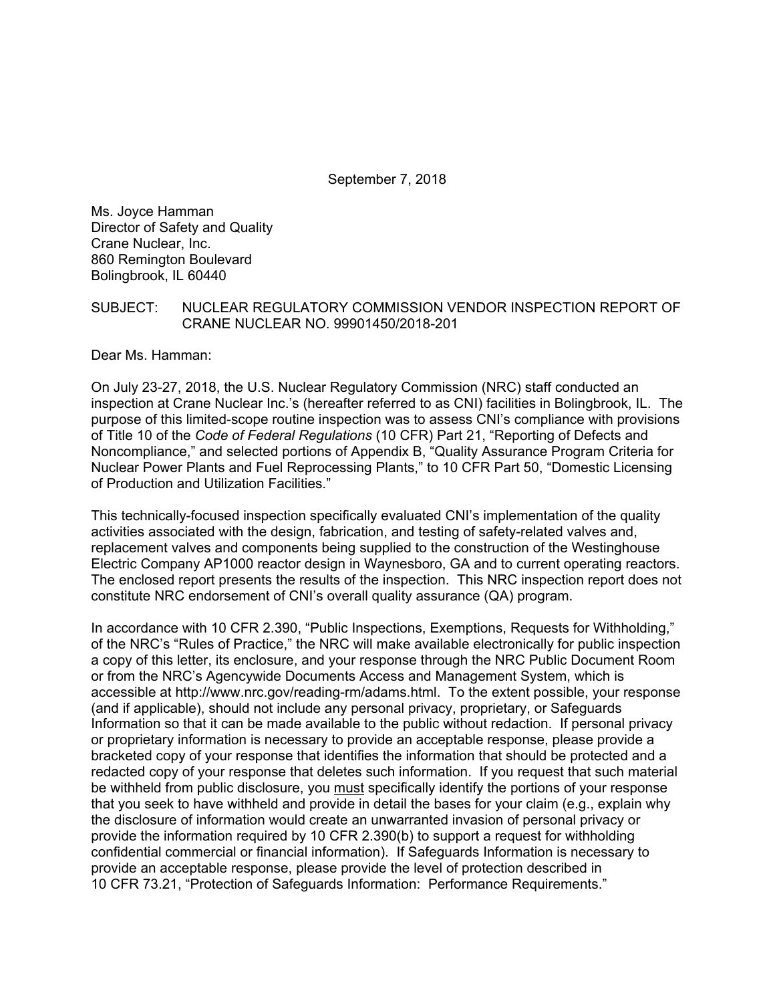September 7, 2018

Ms. Joyce Hamman Director of Safety and Quality Crane Nuclear, Inc. 860 Remington Boulevard Bolingbrook, IL 60440

## SUBJECT: NUCLEAR REGULATORY COMMISSION VENDOR INSPECTION REPORT OF CRANE NUCLEAR NO. 99901450/2018-201

Dear Ms. Hamman:

On July 23-27, 2018, the U.S. Nuclear Regulatory Commission (NRC) staff conducted an inspection at Crane Nuclear Inc.'s (hereafter referred to as CNI) facilities in Bolingbrook, IL. The purpose of this limited-scope routine inspection was to assess CNI's compliance with provisions of Title 10 of the *Code of Federal Regulations* (10 CFR) Part 21, "Reporting of Defects and Noncompliance," and selected portions of Appendix B, "Quality Assurance Program Criteria for Nuclear Power Plants and Fuel Reprocessing Plants," to 10 CFR Part 50, "Domestic Licensing of Production and Utilization Facilities."

This technically-focused inspection specifically evaluated CNI's implementation of the quality activities associated with the design, fabrication, and testing of safety-related valves and, replacement valves and components being supplied to the construction of the Westinghouse Electric Company AP1000 reactor design in Waynesboro, GA and to current operating reactors. The enclosed report presents the results of the inspection. This NRC inspection report does not constitute NRC endorsement of CNI's overall quality assurance (QA) program.

In accordance with 10 CFR 2.390, "Public Inspections, Exemptions, Requests for Withholding," of the NRC's "Rules of Practice," the NRC will make available electronically for public inspection a copy of this letter, its enclosure, and your response through the NRC Public Document Room or from the NRC's Agencywide Documents Access and Management System, which is accessible at http://www.nrc.gov/reading-rm/adams.html. To the extent possible, your response (and if applicable), should not include any personal privacy, proprietary, or Safeguards Information so that it can be made available to the public without redaction. If personal privacy or proprietary information is necessary to provide an acceptable response, please provide a bracketed copy of your response that identifies the information that should be protected and a redacted copy of your response that deletes such information. If you request that such material be withheld from public disclosure, you must specifically identify the portions of your response that you seek to have withheld and provide in detail the bases for your claim (e.g., explain why the disclosure of information would create an unwarranted invasion of personal privacy or provide the information required by 10 CFR 2.390(b) to support a request for withholding confidential commercial or financial information). If Safeguards Information is necessary to provide an acceptable response, please provide the level of protection described in 10 CFR 73.21, "Protection of Safeguards Information: Performance Requirements."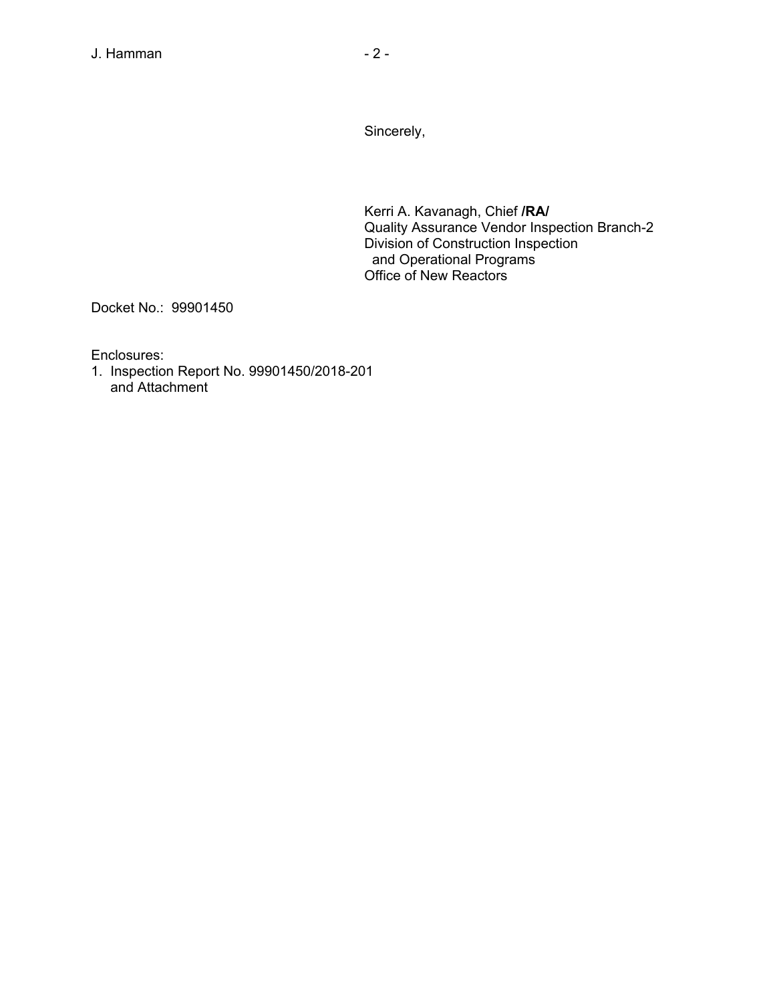Sincerely,

Kerri A. Kavanagh, Chief **/RA/**  Quality Assurance Vendor Inspection Branch-2 Division of Construction Inspection and Operational Programs Office of New Reactors

Docket No.: 99901450

Enclosures:

1. Inspection Report No. 99901450/2018-201 and Attachment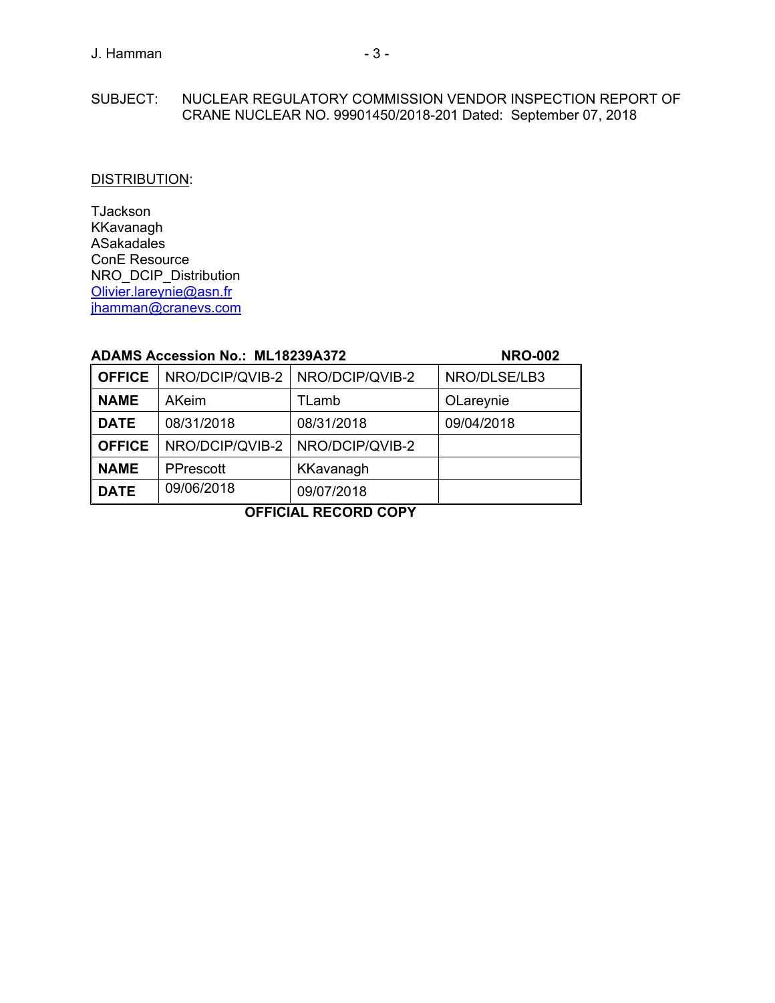# SUBJECT: NUCLEAR REGULATORY COMMISSION VENDOR INSPECTION REPORT OF CRANE NUCLEAR NO. 99901450/2018-201 Dated: September 07, 2018

# DISTRIBUTION:

TJackson KKavanagh ASakadales ConE Resource NRO\_DCIP\_Distribution Olivier.lareynie@asn.fr jhamman@cranevs.com

# **ADAMS Accession No.: ML18239A372 NRO-002**

| <b>OFFICE</b> | NRO/DCIP/QVIB-2 | NRO/DCIP/QVIB-2 | NRO/DLSE/LB3 |  |  |
|---------------|-----------------|-----------------|--------------|--|--|
| <b>NAME</b>   | <b>AKeim</b>    | TLamb           | OLareynie    |  |  |
| <b>DATE</b>   | 08/31/2018      | 08/31/2018      | 09/04/2018   |  |  |
| <b>OFFICE</b> | NRO/DCIP/QVIB-2 | NRO/DCIP/QVIB-2 |              |  |  |
| <b>NAME</b>   | PPrescott       | KKavanagh       |              |  |  |
| <b>DATE</b>   | 09/06/2018      | 09/07/2018      |              |  |  |
|               |                 |                 |              |  |  |

**OFFICIAL RECORD COPY**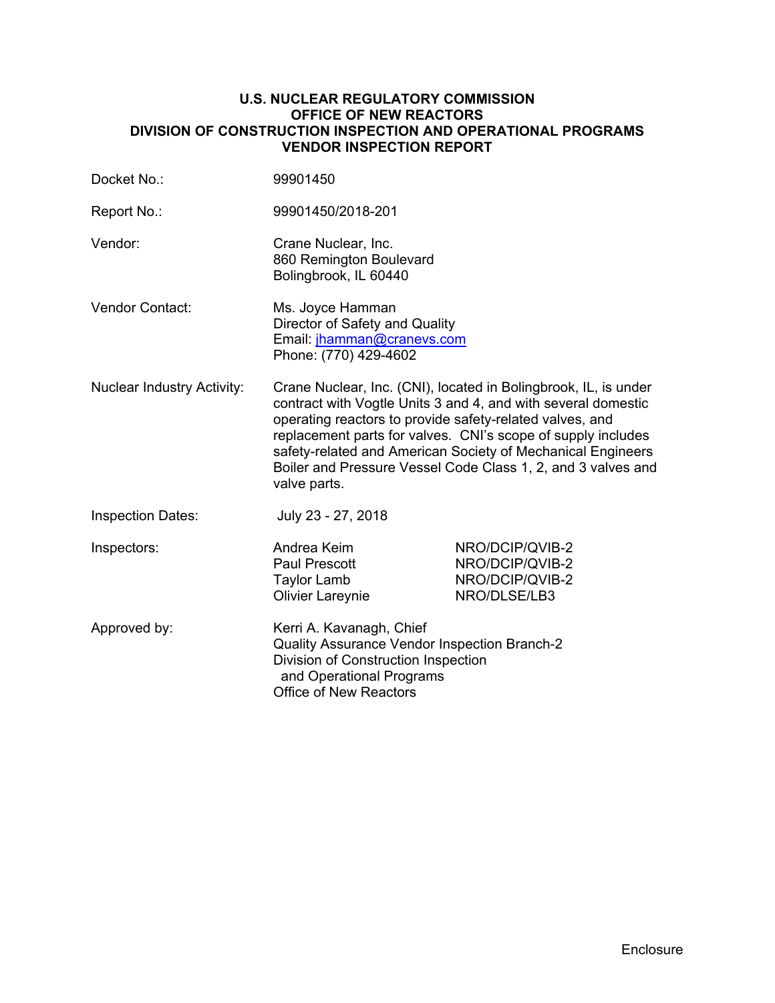# **U.S. NUCLEAR REGULATORY COMMISSION OFFICE OF NEW REACTORS DIVISION OF CONSTRUCTION INSPECTION AND OPERATIONAL PROGRAMS VENDOR INSPECTION REPORT**

| Docket No.:                       | 99901450                                                                                                                                                                                                                                                                                                                                                                                                    |                                                                       |  |
|-----------------------------------|-------------------------------------------------------------------------------------------------------------------------------------------------------------------------------------------------------------------------------------------------------------------------------------------------------------------------------------------------------------------------------------------------------------|-----------------------------------------------------------------------|--|
| Report No.:                       | 99901450/2018-201                                                                                                                                                                                                                                                                                                                                                                                           |                                                                       |  |
| Vendor:                           | Crane Nuclear, Inc.<br>860 Remington Boulevard<br>Bolingbrook, IL 60440                                                                                                                                                                                                                                                                                                                                     |                                                                       |  |
| Vendor Contact:                   | Ms. Joyce Hamman<br>Director of Safety and Quality<br>Email: jhamman@cranevs.com<br>Phone: (770) 429-4602                                                                                                                                                                                                                                                                                                   |                                                                       |  |
| <b>Nuclear Industry Activity:</b> | Crane Nuclear, Inc. (CNI), located in Bolingbrook, IL, is under<br>contract with Vogtle Units 3 and 4, and with several domestic<br>operating reactors to provide safety-related valves, and<br>replacement parts for valves. CNI's scope of supply includes<br>safety-related and American Society of Mechanical Engineers<br>Boiler and Pressure Vessel Code Class 1, 2, and 3 valves and<br>valve parts. |                                                                       |  |
| <b>Inspection Dates:</b>          | July 23 - 27, 2018                                                                                                                                                                                                                                                                                                                                                                                          |                                                                       |  |
| Inspectors:                       | Andrea Keim<br><b>Paul Prescott</b><br><b>Taylor Lamb</b><br><b>Olivier Lareynie</b>                                                                                                                                                                                                                                                                                                                        | NRO/DCIP/QVIB-2<br>NRO/DCIP/QVIB-2<br>NRO/DCIP/QVIB-2<br>NRO/DLSE/LB3 |  |
| Approved by:                      | Kerri A. Kavanagh, Chief<br>Quality Assurance Vendor Inspection Branch-2<br>Division of Construction Inspection<br>and Operational Programs<br><b>Office of New Reactors</b>                                                                                                                                                                                                                                |                                                                       |  |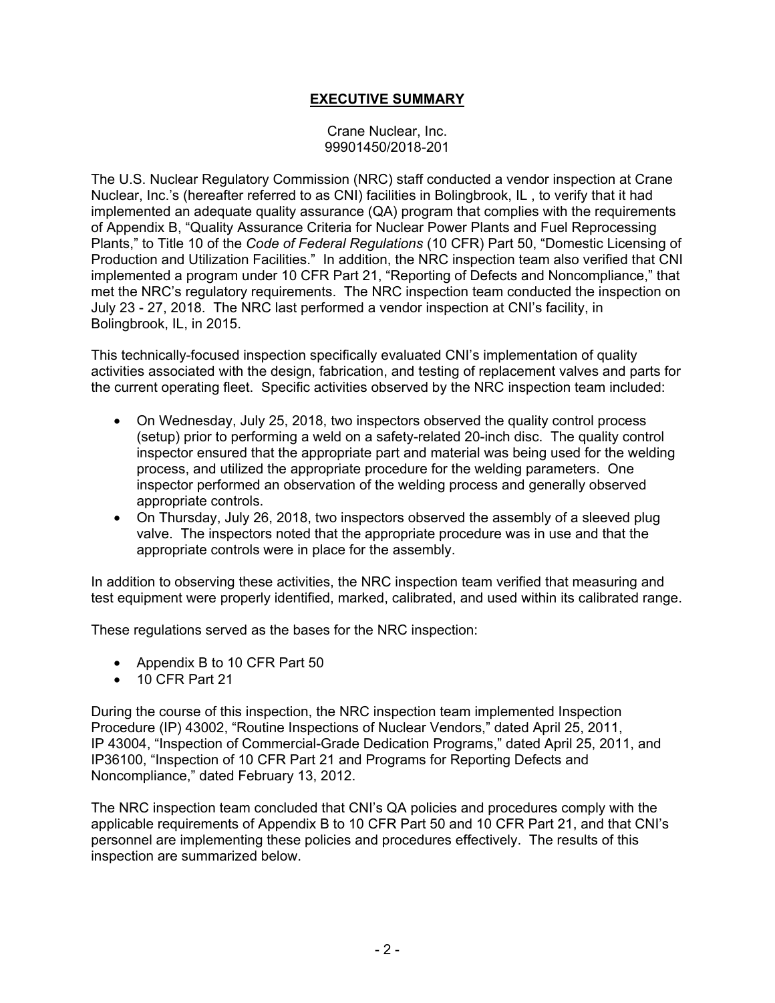# **EXECUTIVE SUMMARY**

Crane Nuclear, Inc. 99901450/2018-201

The U.S. Nuclear Regulatory Commission (NRC) staff conducted a vendor inspection at Crane Nuclear, Inc.'s (hereafter referred to as CNI) facilities in Bolingbrook, IL , to verify that it had implemented an adequate quality assurance (QA) program that complies with the requirements of Appendix B, "Quality Assurance Criteria for Nuclear Power Plants and Fuel Reprocessing Plants," to Title 10 of the *Code of Federal Regulations* (10 CFR) Part 50, "Domestic Licensing of Production and Utilization Facilities." In addition, the NRC inspection team also verified that CNI implemented a program under 10 CFR Part 21, "Reporting of Defects and Noncompliance," that met the NRC's regulatory requirements. The NRC inspection team conducted the inspection on July 23 - 27, 2018. The NRC last performed a vendor inspection at CNI's facility, in Bolingbrook, IL, in 2015.

This technically-focused inspection specifically evaluated CNI's implementation of quality activities associated with the design, fabrication, and testing of replacement valves and parts for the current operating fleet. Specific activities observed by the NRC inspection team included:

- On Wednesday, July 25, 2018, two inspectors observed the quality control process (setup) prior to performing a weld on a safety-related 20-inch disc. The quality control inspector ensured that the appropriate part and material was being used for the welding process, and utilized the appropriate procedure for the welding parameters. One inspector performed an observation of the welding process and generally observed appropriate controls.
- On Thursday, July 26, 2018, two inspectors observed the assembly of a sleeved plug valve. The inspectors noted that the appropriate procedure was in use and that the appropriate controls were in place for the assembly.

In addition to observing these activities, the NRC inspection team verified that measuring and test equipment were properly identified, marked, calibrated, and used within its calibrated range.

These regulations served as the bases for the NRC inspection:

- Appendix B to 10 CFR Part 50
- 10 CFR Part 21

During the course of this inspection, the NRC inspection team implemented Inspection Procedure (IP) 43002, "Routine Inspections of Nuclear Vendors," dated April 25, 2011, IP 43004, "Inspection of Commercial-Grade Dedication Programs," dated April 25, 2011, and IP36100, "Inspection of 10 CFR Part 21 and Programs for Reporting Defects and Noncompliance," dated February 13, 2012.

The NRC inspection team concluded that CNI's QA policies and procedures comply with the applicable requirements of Appendix B to 10 CFR Part 50 and 10 CFR Part 21, and that CNI's personnel are implementing these policies and procedures effectively. The results of this inspection are summarized below.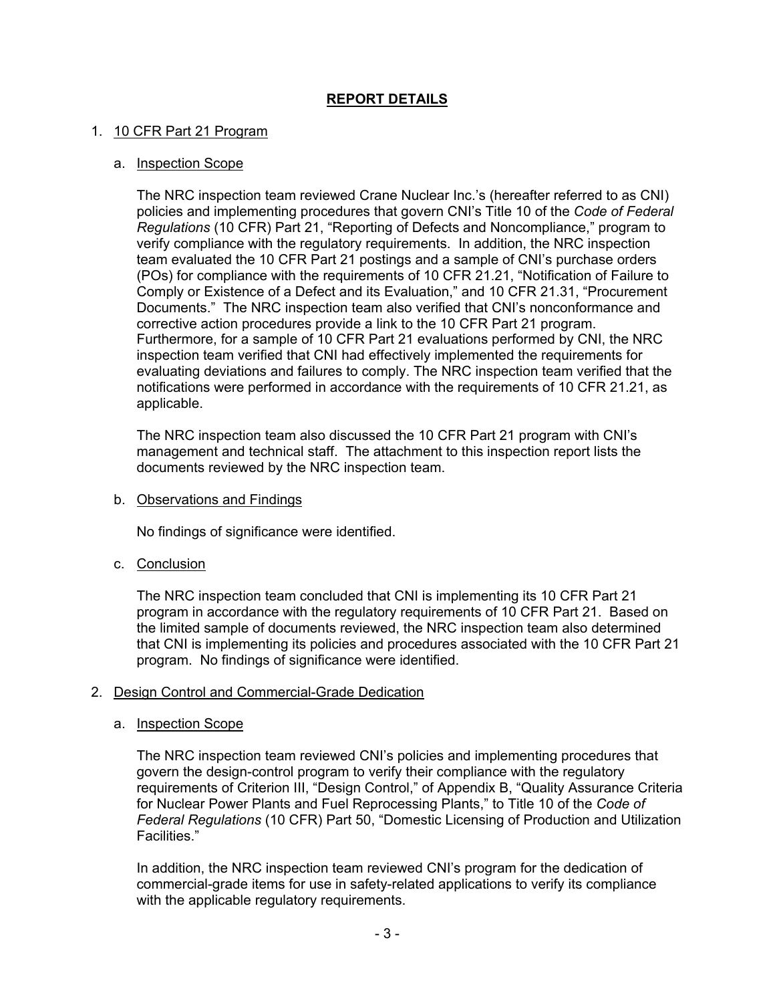# **REPORT DETAILS**

# 1. 10 CFR Part 21 Program

## a. Inspection Scope

The NRC inspection team reviewed Crane Nuclear Inc.'s (hereafter referred to as CNI) policies and implementing procedures that govern CNI's Title 10 of the *Code of Federal Regulations* (10 CFR) Part 21, "Reporting of Defects and Noncompliance," program to verify compliance with the regulatory requirements. In addition, the NRC inspection team evaluated the 10 CFR Part 21 postings and a sample of CNI's purchase orders (POs) for compliance with the requirements of 10 CFR 21.21, "Notification of Failure to Comply or Existence of a Defect and its Evaluation," and 10 CFR 21.31, "Procurement Documents." The NRC inspection team also verified that CNI's nonconformance and corrective action procedures provide a link to the 10 CFR Part 21 program. Furthermore, for a sample of 10 CFR Part 21 evaluations performed by CNI, the NRC inspection team verified that CNI had effectively implemented the requirements for evaluating deviations and failures to comply. The NRC inspection team verified that the notifications were performed in accordance with the requirements of 10 CFR 21.21, as applicable.

The NRC inspection team also discussed the 10 CFR Part 21 program with CNI's management and technical staff. The attachment to this inspection report lists the documents reviewed by the NRC inspection team.

b. Observations and Findings

No findings of significance were identified.

c. Conclusion

The NRC inspection team concluded that CNI is implementing its 10 CFR Part 21 program in accordance with the regulatory requirements of 10 CFR Part 21. Based on the limited sample of documents reviewed, the NRC inspection team also determined that CNI is implementing its policies and procedures associated with the 10 CFR Part 21 program. No findings of significance were identified.

#### 2. Design Control and Commercial-Grade Dedication

#### a. Inspection Scope

The NRC inspection team reviewed CNI's policies and implementing procedures that govern the design-control program to verify their compliance with the regulatory requirements of Criterion III, "Design Control," of Appendix B, "Quality Assurance Criteria for Nuclear Power Plants and Fuel Reprocessing Plants," to Title 10 of the *Code of Federal Regulations* (10 CFR) Part 50, "Domestic Licensing of Production and Utilization Facilities."

In addition, the NRC inspection team reviewed CNI's program for the dedication of commercial-grade items for use in safety-related applications to verify its compliance with the applicable regulatory requirements.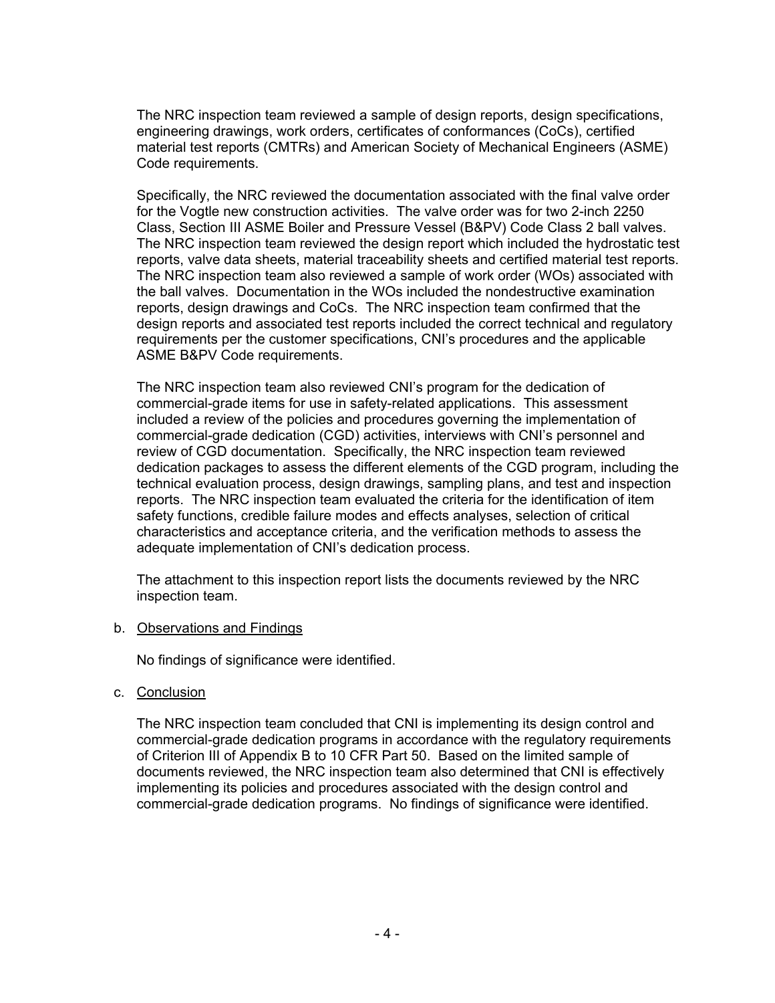The NRC inspection team reviewed a sample of design reports, design specifications, engineering drawings, work orders, certificates of conformances (CoCs), certified material test reports (CMTRs) and American Society of Mechanical Engineers (ASME) Code requirements.

Specifically, the NRC reviewed the documentation associated with the final valve order for the Vogtle new construction activities. The valve order was for two 2-inch 2250 Class, Section III ASME Boiler and Pressure Vessel (B&PV) Code Class 2 ball valves. The NRC inspection team reviewed the design report which included the hydrostatic test reports, valve data sheets, material traceability sheets and certified material test reports. The NRC inspection team also reviewed a sample of work order (WOs) associated with the ball valves. Documentation in the WOs included the nondestructive examination reports, design drawings and CoCs. The NRC inspection team confirmed that the design reports and associated test reports included the correct technical and regulatory requirements per the customer specifications, CNI's procedures and the applicable ASME B&PV Code requirements.

The NRC inspection team also reviewed CNI's program for the dedication of commercial-grade items for use in safety-related applications. This assessment included a review of the policies and procedures governing the implementation of commercial-grade dedication (CGD) activities, interviews with CNI's personnel and review of CGD documentation. Specifically, the NRC inspection team reviewed dedication packages to assess the different elements of the CGD program, including the technical evaluation process, design drawings, sampling plans, and test and inspection reports. The NRC inspection team evaluated the criteria for the identification of item safety functions, credible failure modes and effects analyses, selection of critical characteristics and acceptance criteria, and the verification methods to assess the adequate implementation of CNI's dedication process.

The attachment to this inspection report lists the documents reviewed by the NRC inspection team.

#### b. Observations and Findings

No findings of significance were identified.

c. Conclusion

The NRC inspection team concluded that CNI is implementing its design control and commercial-grade dedication programs in accordance with the regulatory requirements of Criterion III of Appendix B to 10 CFR Part 50. Based on the limited sample of documents reviewed, the NRC inspection team also determined that CNI is effectively implementing its policies and procedures associated with the design control and commercial-grade dedication programs. No findings of significance were identified.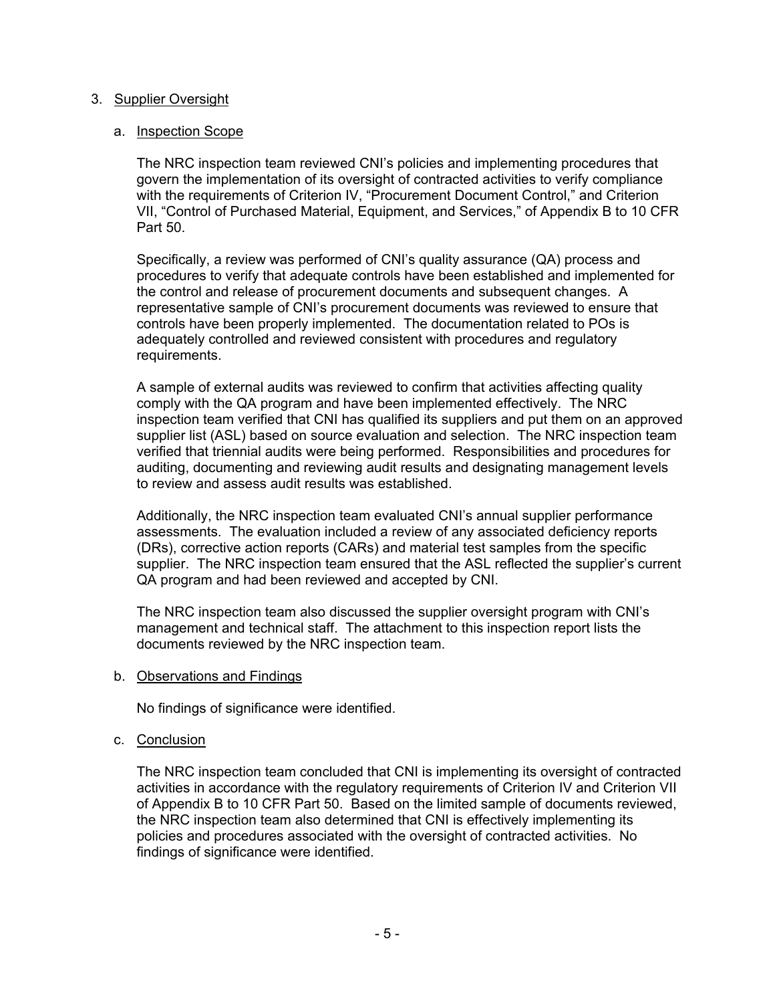# 3. Supplier Oversight

# a. Inspection Scope

The NRC inspection team reviewed CNI's policies and implementing procedures that govern the implementation of its oversight of contracted activities to verify compliance with the requirements of Criterion IV, "Procurement Document Control," and Criterion VII, "Control of Purchased Material, Equipment, and Services," of Appendix B to 10 CFR Part 50.

Specifically, a review was performed of CNI's quality assurance (QA) process and procedures to verify that adequate controls have been established and implemented for the control and release of procurement documents and subsequent changes. A representative sample of CNI's procurement documents was reviewed to ensure that controls have been properly implemented. The documentation related to POs is adequately controlled and reviewed consistent with procedures and regulatory requirements.

A sample of external audits was reviewed to confirm that activities affecting quality comply with the QA program and have been implemented effectively. The NRC inspection team verified that CNI has qualified its suppliers and put them on an approved supplier list (ASL) based on source evaluation and selection. The NRC inspection team verified that triennial audits were being performed. Responsibilities and procedures for auditing, documenting and reviewing audit results and designating management levels to review and assess audit results was established.

Additionally, the NRC inspection team evaluated CNI's annual supplier performance assessments. The evaluation included a review of any associated deficiency reports (DRs), corrective action reports (CARs) and material test samples from the specific supplier. The NRC inspection team ensured that the ASL reflected the supplier's current QA program and had been reviewed and accepted by CNI.

The NRC inspection team also discussed the supplier oversight program with CNI's management and technical staff. The attachment to this inspection report lists the documents reviewed by the NRC inspection team.

b. Observations and Findings

No findings of significance were identified.

#### c. Conclusion

The NRC inspection team concluded that CNI is implementing its oversight of contracted activities in accordance with the regulatory requirements of Criterion IV and Criterion VII of Appendix B to 10 CFR Part 50. Based on the limited sample of documents reviewed, the NRC inspection team also determined that CNI is effectively implementing its policies and procedures associated with the oversight of contracted activities. No findings of significance were identified.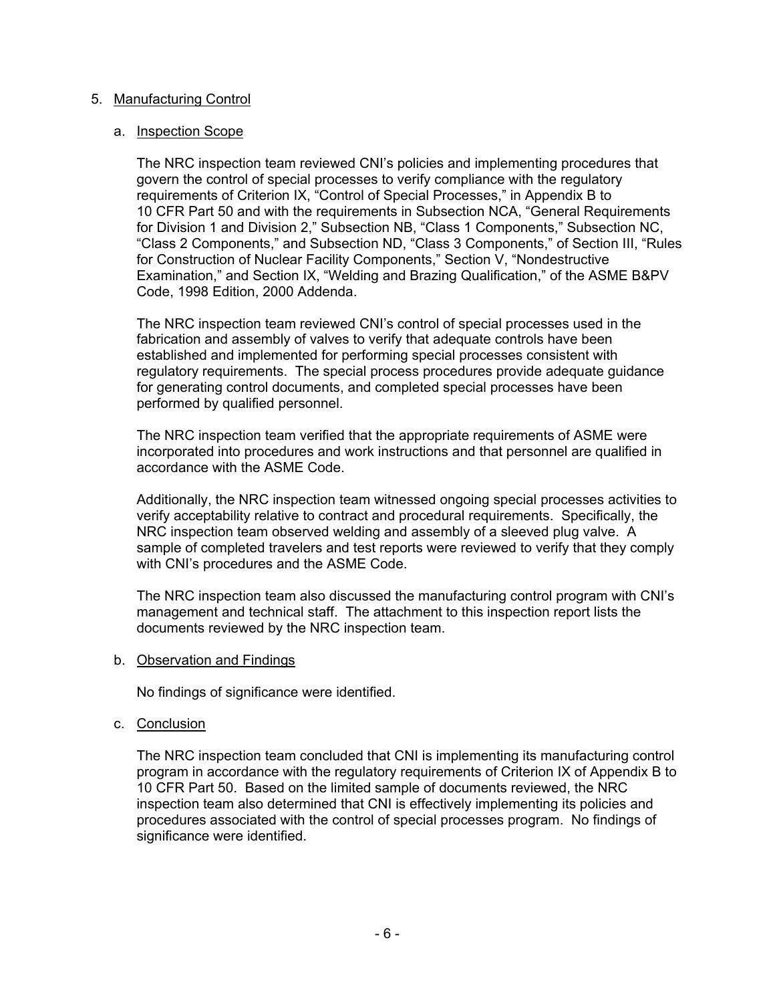# 5. Manufacturing Control

## a. Inspection Scope

The NRC inspection team reviewed CNI's policies and implementing procedures that govern the control of special processes to verify compliance with the regulatory requirements of Criterion IX, "Control of Special Processes," in Appendix B to 10 CFR Part 50 and with the requirements in Subsection NCA, "General Requirements for Division 1 and Division 2," Subsection NB, "Class 1 Components," Subsection NC, "Class 2 Components," and Subsection ND, "Class 3 Components," of Section III, "Rules for Construction of Nuclear Facility Components," Section V, "Nondestructive Examination," and Section IX, "Welding and Brazing Qualification," of the ASME B&PV Code, 1998 Edition, 2000 Addenda.

The NRC inspection team reviewed CNI's control of special processes used in the fabrication and assembly of valves to verify that adequate controls have been established and implemented for performing special processes consistent with regulatory requirements. The special process procedures provide adequate guidance for generating control documents, and completed special processes have been performed by qualified personnel.

The NRC inspection team verified that the appropriate requirements of ASME were incorporated into procedures and work instructions and that personnel are qualified in accordance with the ASME Code.

Additionally, the NRC inspection team witnessed ongoing special processes activities to verify acceptability relative to contract and procedural requirements. Specifically, the NRC inspection team observed welding and assembly of a sleeved plug valve. A sample of completed travelers and test reports were reviewed to verify that they comply with CNI's procedures and the ASME Code.

The NRC inspection team also discussed the manufacturing control program with CNI's management and technical staff. The attachment to this inspection report lists the documents reviewed by the NRC inspection team.

#### b. Observation and Findings

No findings of significance were identified.

#### c. Conclusion

The NRC inspection team concluded that CNI is implementing its manufacturing control program in accordance with the regulatory requirements of Criterion IX of Appendix B to 10 CFR Part 50. Based on the limited sample of documents reviewed, the NRC inspection team also determined that CNI is effectively implementing its policies and procedures associated with the control of special processes program. No findings of significance were identified.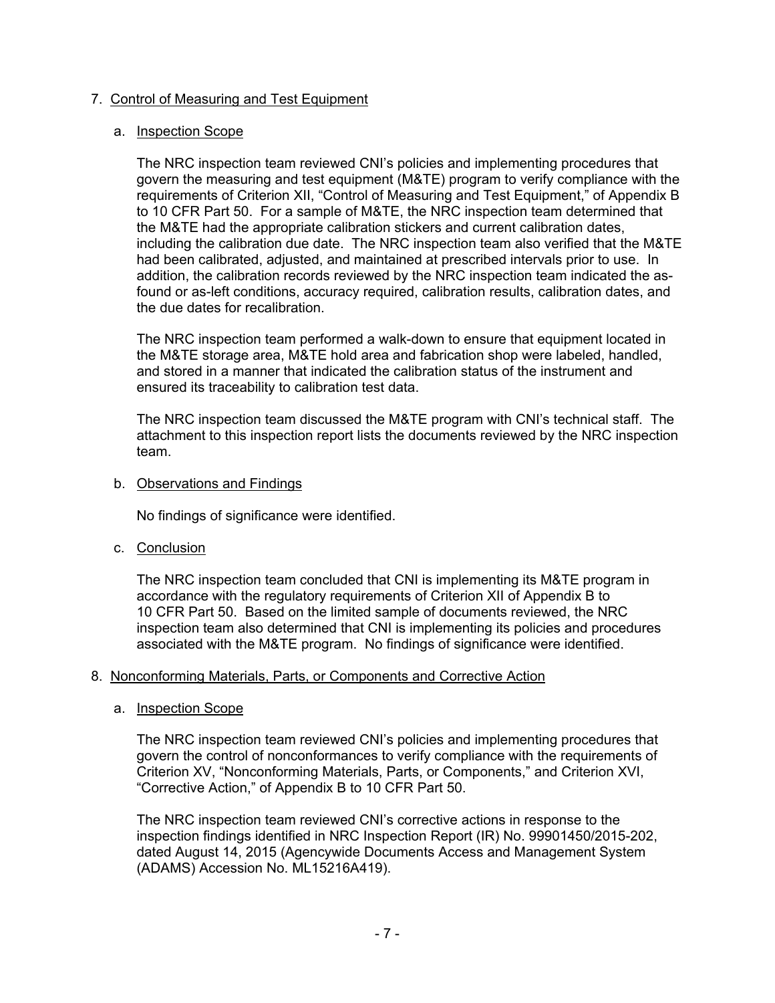# 7. Control of Measuring and Test Equipment

## a. Inspection Scope

The NRC inspection team reviewed CNI's policies and implementing procedures that govern the measuring and test equipment (M&TE) program to verify compliance with the requirements of Criterion XII, "Control of Measuring and Test Equipment," of Appendix B to 10 CFR Part 50. For a sample of M&TE, the NRC inspection team determined that the M&TE had the appropriate calibration stickers and current calibration dates, including the calibration due date. The NRC inspection team also verified that the M&TE had been calibrated, adjusted, and maintained at prescribed intervals prior to use. In addition, the calibration records reviewed by the NRC inspection team indicated the asfound or as-left conditions, accuracy required, calibration results, calibration dates, and the due dates for recalibration.

The NRC inspection team performed a walk-down to ensure that equipment located in the M&TE storage area, M&TE hold area and fabrication shop were labeled, handled, and stored in a manner that indicated the calibration status of the instrument and ensured its traceability to calibration test data.

The NRC inspection team discussed the M&TE program with CNI's technical staff. The attachment to this inspection report lists the documents reviewed by the NRC inspection team.

#### b. Observations and Findings

No findings of significance were identified.

c. Conclusion

The NRC inspection team concluded that CNI is implementing its M&TE program in accordance with the regulatory requirements of Criterion XII of Appendix B to 10 CFR Part 50. Based on the limited sample of documents reviewed, the NRC inspection team also determined that CNI is implementing its policies and procedures associated with the M&TE program. No findings of significance were identified.

# 8. Nonconforming Materials, Parts, or Components and Corrective Action

a. Inspection Scope

The NRC inspection team reviewed CNI's policies and implementing procedures that govern the control of nonconformances to verify compliance with the requirements of Criterion XV, "Nonconforming Materials, Parts, or Components," and Criterion XVI, "Corrective Action," of Appendix B to 10 CFR Part 50.

The NRC inspection team reviewed CNI's corrective actions in response to the inspection findings identified in NRC Inspection Report (IR) No. 99901450/2015-202, dated August 14, 2015 (Agencywide Documents Access and Management System (ADAMS) Accession No. ML15216A419).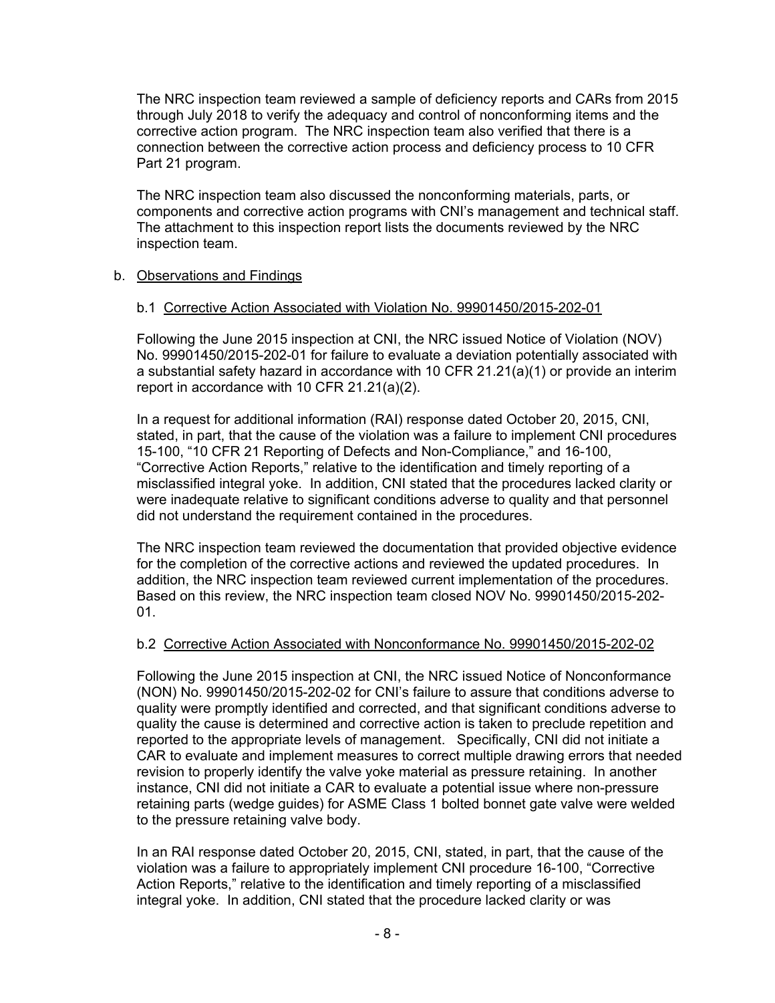The NRC inspection team reviewed a sample of deficiency reports and CARs from 2015 through July 2018 to verify the adequacy and control of nonconforming items and the corrective action program. The NRC inspection team also verified that there is a connection between the corrective action process and deficiency process to 10 CFR Part 21 program.

The NRC inspection team also discussed the nonconforming materials, parts, or components and corrective action programs with CNI's management and technical staff. The attachment to this inspection report lists the documents reviewed by the NRC inspection team.

# b. Observations and Findings

# b.1 Corrective Action Associated with Violation No. 99901450/2015-202-01

Following the June 2015 inspection at CNI, the NRC issued Notice of Violation (NOV) No. 99901450/2015-202-01 for failure to evaluate a deviation potentially associated with a substantial safety hazard in accordance with 10 CFR 21.21(a)(1) or provide an interim report in accordance with 10 CFR 21.21(a)(2).

In a request for additional information (RAI) response dated October 20, 2015, CNI, stated, in part, that the cause of the violation was a failure to implement CNI procedures 15-100, "10 CFR 21 Reporting of Defects and Non-Compliance," and 16-100, "Corrective Action Reports," relative to the identification and timely reporting of a misclassified integral yoke. In addition, CNI stated that the procedures lacked clarity or were inadequate relative to significant conditions adverse to quality and that personnel did not understand the requirement contained in the procedures.

The NRC inspection team reviewed the documentation that provided objective evidence for the completion of the corrective actions and reviewed the updated procedures. In addition, the NRC inspection team reviewed current implementation of the procedures. Based on this review, the NRC inspection team closed NOV No. 99901450/2015-202- 01.

## b.2 Corrective Action Associated with Nonconformance No. 99901450/2015-202-02

Following the June 2015 inspection at CNI, the NRC issued Notice of Nonconformance (NON) No. 99901450/2015-202-02 for CNI's failure to assure that conditions adverse to quality were promptly identified and corrected, and that significant conditions adverse to quality the cause is determined and corrective action is taken to preclude repetition and reported to the appropriate levels of management. Specifically, CNI did not initiate a CAR to evaluate and implement measures to correct multiple drawing errors that needed revision to properly identify the valve yoke material as pressure retaining. In another instance, CNI did not initiate a CAR to evaluate a potential issue where non-pressure retaining parts (wedge guides) for ASME Class 1 bolted bonnet gate valve were welded to the pressure retaining valve body.

In an RAI response dated October 20, 2015, CNI, stated, in part, that the cause of the violation was a failure to appropriately implement CNI procedure 16-100, "Corrective Action Reports," relative to the identification and timely reporting of a misclassified integral yoke. In addition, CNI stated that the procedure lacked clarity or was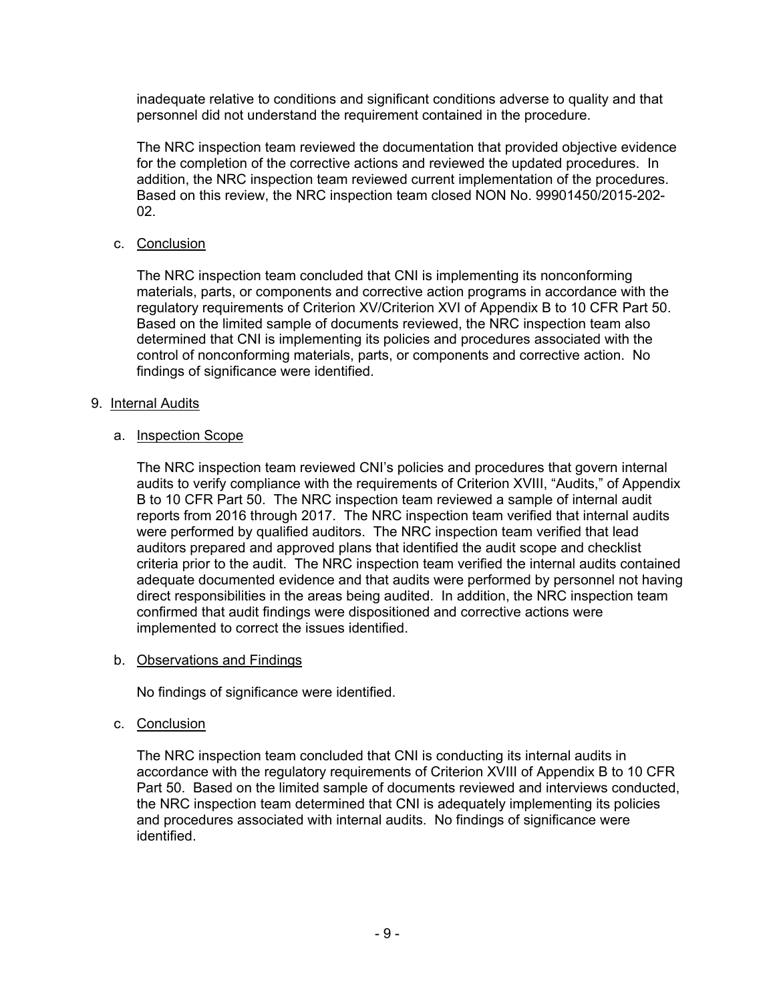inadequate relative to conditions and significant conditions adverse to quality and that personnel did not understand the requirement contained in the procedure.

The NRC inspection team reviewed the documentation that provided objective evidence for the completion of the corrective actions and reviewed the updated procedures. In addition, the NRC inspection team reviewed current implementation of the procedures. Based on this review, the NRC inspection team closed NON No. 99901450/2015-202- 02.

# c. Conclusion

The NRC inspection team concluded that CNI is implementing its nonconforming materials, parts, or components and corrective action programs in accordance with the regulatory requirements of Criterion XV/Criterion XVI of Appendix B to 10 CFR Part 50. Based on the limited sample of documents reviewed, the NRC inspection team also determined that CNI is implementing its policies and procedures associated with the control of nonconforming materials, parts, or components and corrective action. No findings of significance were identified.

# 9. Internal Audits

# a. Inspection Scope

The NRC inspection team reviewed CNI's policies and procedures that govern internal audits to verify compliance with the requirements of Criterion XVIII, "Audits," of Appendix B to 10 CFR Part 50. The NRC inspection team reviewed a sample of internal audit reports from 2016 through 2017. The NRC inspection team verified that internal audits were performed by qualified auditors. The NRC inspection team verified that lead auditors prepared and approved plans that identified the audit scope and checklist criteria prior to the audit. The NRC inspection team verified the internal audits contained adequate documented evidence and that audits were performed by personnel not having direct responsibilities in the areas being audited. In addition, the NRC inspection team confirmed that audit findings were dispositioned and corrective actions were implemented to correct the issues identified.

#### b. Observations and Findings

No findings of significance were identified.

#### c. Conclusion

The NRC inspection team concluded that CNI is conducting its internal audits in accordance with the regulatory requirements of Criterion XVIII of Appendix B to 10 CFR Part 50. Based on the limited sample of documents reviewed and interviews conducted, the NRC inspection team determined that CNI is adequately implementing its policies and procedures associated with internal audits. No findings of significance were identified.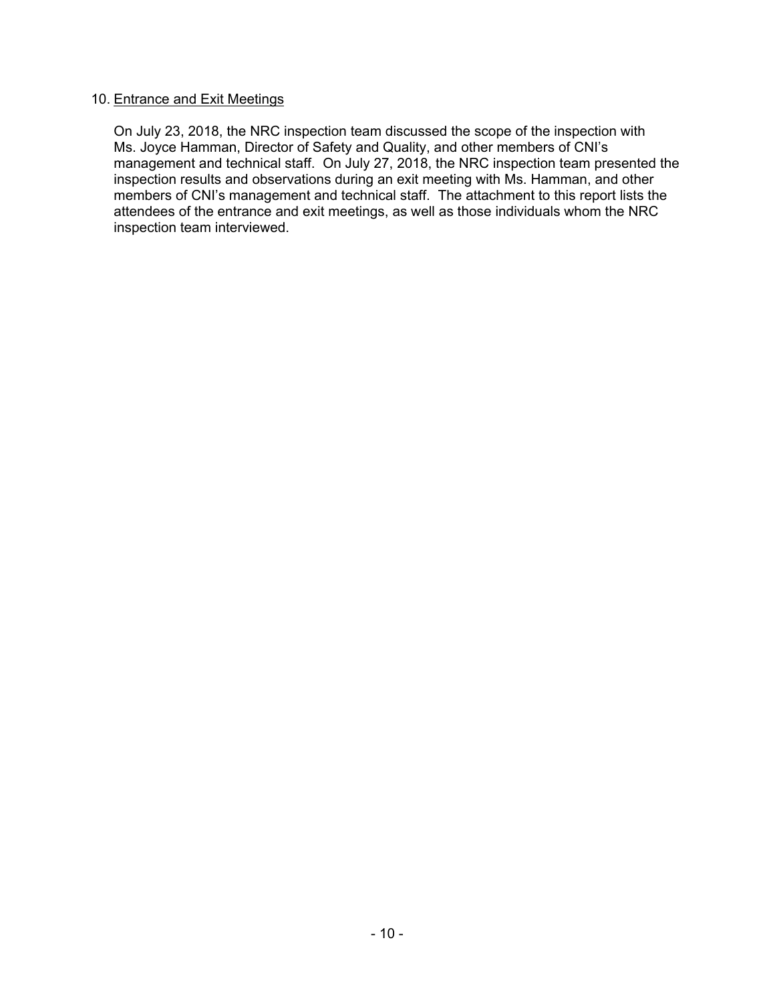# 10. Entrance and Exit Meetings

On July 23, 2018, the NRC inspection team discussed the scope of the inspection with Ms. Joyce Hamman, Director of Safety and Quality, and other members of CNI's management and technical staff. On July 27, 2018, the NRC inspection team presented the inspection results and observations during an exit meeting with Ms. Hamman, and other members of CNI's management and technical staff. The attachment to this report lists the attendees of the entrance and exit meetings, as well as those individuals whom the NRC inspection team interviewed.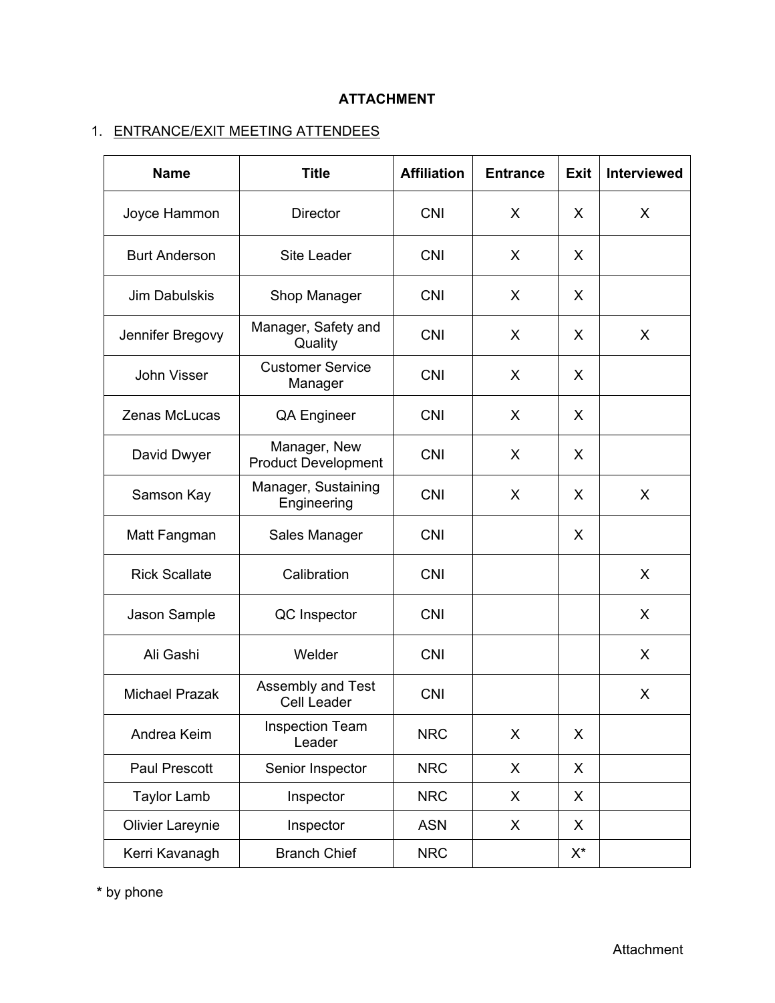# **ATTACHMENT**

# 1. ENTRANCE/EXIT MEETING ATTENDEES

| <b>Name</b>             | <b>Title</b>                               | <b>Affiliation</b> | <b>Entrance</b> | <b>Exit</b>        | <b>Interviewed</b> |
|-------------------------|--------------------------------------------|--------------------|-----------------|--------------------|--------------------|
| Joyce Hammon            | <b>Director</b>                            | <b>CNI</b>         | X               | X                  | X                  |
| <b>Burt Anderson</b>    | <b>Site Leader</b>                         | <b>CNI</b>         | X               | X                  |                    |
| Jim Dabulskis           | Shop Manager                               | <b>CNI</b>         | X               | X                  |                    |
| Jennifer Bregovy        | Manager, Safety and<br>Quality             | <b>CNI</b>         | X               | X                  | X                  |
| <b>John Visser</b>      | <b>Customer Service</b><br>Manager         | <b>CNI</b>         | X               | X                  |                    |
| Zenas McLucas           | <b>QA Engineer</b>                         | <b>CNI</b>         | X               | X                  |                    |
| David Dwyer             | Manager, New<br><b>Product Development</b> | <b>CNI</b>         | X               | X                  |                    |
| Samson Kay              | Manager, Sustaining<br>Engineering         | <b>CNI</b>         | X               | X                  | X                  |
| Matt Fangman            | Sales Manager                              | <b>CNI</b>         |                 | X                  |                    |
| <b>Rick Scallate</b>    | Calibration                                | <b>CNI</b>         |                 |                    | X                  |
| Jason Sample            | QC Inspector                               | <b>CNI</b>         |                 |                    | X                  |
| Ali Gashi               | Welder                                     | <b>CNI</b>         |                 |                    | $\mathsf{X}$       |
| <b>Michael Prazak</b>   | Assembly and Test<br><b>Cell Leader</b>    | <b>CNI</b>         |                 |                    | X                  |
| Andrea Keim             | <b>Inspection Team</b><br>Leader           | <b>NRC</b>         | X               | X                  |                    |
| Paul Prescott           | Senior Inspector                           | <b>NRC</b>         | X               | X                  |                    |
| <b>Taylor Lamb</b>      | Inspector                                  | <b>NRC</b>         | X               | X                  |                    |
| <b>Olivier Lareynie</b> | Inspector                                  | <b>ASN</b>         | X               | X                  |                    |
| Kerri Kavanagh          | <b>Branch Chief</b>                        | <b>NRC</b>         |                 | $\mathsf{X}^\star$ |                    |

**\*** by phone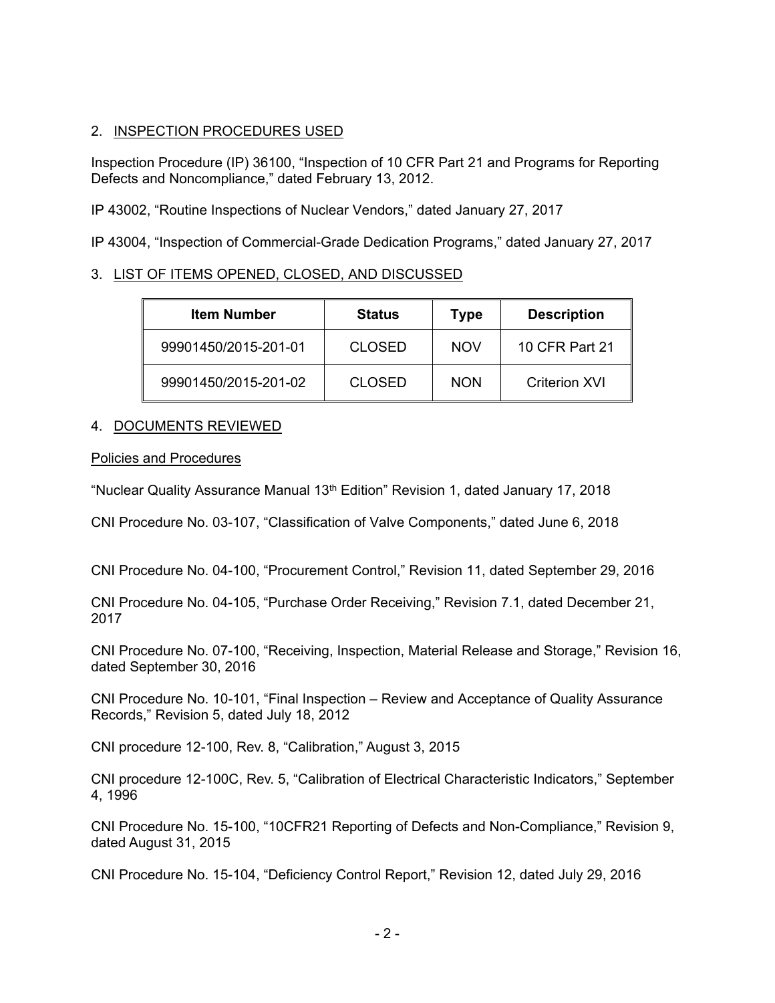# 2. INSPECTION PROCEDURES USED

Inspection Procedure (IP) 36100, "Inspection of 10 CFR Part 21 and Programs for Reporting Defects and Noncompliance," dated February 13, 2012.

IP 43002, "Routine Inspections of Nuclear Vendors," dated January 27, 2017

IP 43004, "Inspection of Commercial-Grade Dedication Programs," dated January 27, 2017

# 3. LIST OF ITEMS OPENED, CLOSED, AND DISCUSSED

| <b>Item Number</b>   | <b>Status</b> | Type       | <b>Description</b> |
|----------------------|---------------|------------|--------------------|
| 99901450/2015-201-01 | <b>CLOSED</b> | <b>NOV</b> | 10 CFR Part 21     |
| 99901450/2015-201-02 | <b>CLOSED</b> | <b>NON</b> | Criterion XVI      |

# 4. DOCUMENTS REVIEWED

# Policies and Procedures

"Nuclear Quality Assurance Manual 13<sup>th</sup> Edition" Revision 1, dated January 17, 2018

CNI Procedure No. 03-107, "Classification of Valve Components," dated June 6, 2018

CNI Procedure No. 04-100, "Procurement Control," Revision 11, dated September 29, 2016

CNI Procedure No. 04-105, "Purchase Order Receiving," Revision 7.1, dated December 21, 2017

CNI Procedure No. 07-100, "Receiving, Inspection, Material Release and Storage," Revision 16, dated September 30, 2016

CNI Procedure No. 10-101, "Final Inspection – Review and Acceptance of Quality Assurance Records," Revision 5, dated July 18, 2012

CNI procedure 12-100, Rev. 8, "Calibration," August 3, 2015

CNI procedure 12-100C, Rev. 5, "Calibration of Electrical Characteristic Indicators," September 4, 1996

CNI Procedure No. 15-100, "10CFR21 Reporting of Defects and Non-Compliance," Revision 9, dated August 31, 2015

CNI Procedure No. 15-104, "Deficiency Control Report," Revision 12, dated July 29, 2016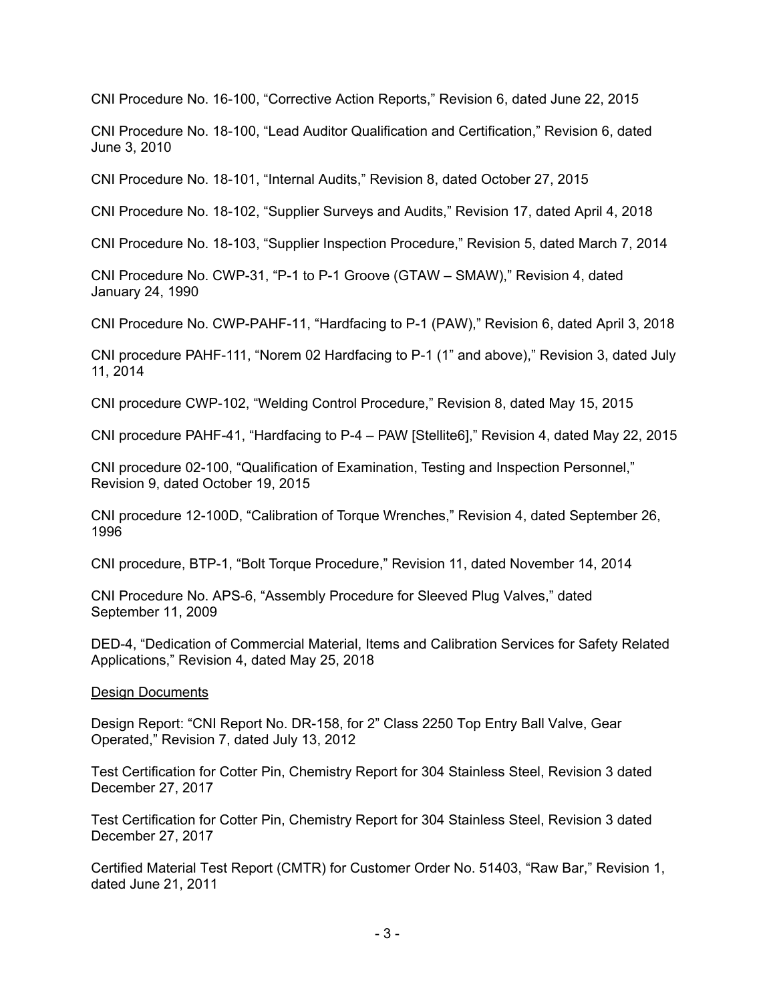CNI Procedure No. 16-100, "Corrective Action Reports," Revision 6, dated June 22, 2015

CNI Procedure No. 18-100, "Lead Auditor Qualification and Certification," Revision 6, dated June 3, 2010

CNI Procedure No. 18-101, "Internal Audits," Revision 8, dated October 27, 2015

CNI Procedure No. 18-102, "Supplier Surveys and Audits," Revision 17, dated April 4, 2018

CNI Procedure No. 18-103, "Supplier Inspection Procedure," Revision 5, dated March 7, 2014

CNI Procedure No. CWP-31, "P-1 to P-1 Groove (GTAW – SMAW)," Revision 4, dated January 24, 1990

CNI Procedure No. CWP-PAHF-11, "Hardfacing to P-1 (PAW)," Revision 6, dated April 3, 2018

CNI procedure PAHF-111, "Norem 02 Hardfacing to P-1 (1" and above)," Revision 3, dated July 11, 2014

CNI procedure CWP-102, "Welding Control Procedure," Revision 8, dated May 15, 2015

CNI procedure PAHF-41, "Hardfacing to P-4 – PAW [Stellite6]," Revision 4, dated May 22, 2015

CNI procedure 02-100, "Qualification of Examination, Testing and Inspection Personnel," Revision 9, dated October 19, 2015

CNI procedure 12-100D, "Calibration of Torque Wrenches," Revision 4, dated September 26, 1996

CNI procedure, BTP-1, "Bolt Torque Procedure," Revision 11, dated November 14, 2014

CNI Procedure No. APS-6, "Assembly Procedure for Sleeved Plug Valves," dated September 11, 2009

DED-4, "Dedication of Commercial Material, Items and Calibration Services for Safety Related Applications," Revision 4, dated May 25, 2018

#### Design Documents

Design Report: "CNI Report No. DR-158, for 2" Class 2250 Top Entry Ball Valve, Gear Operated," Revision 7, dated July 13, 2012

Test Certification for Cotter Pin, Chemistry Report for 304 Stainless Steel, Revision 3 dated December 27, 2017

Test Certification for Cotter Pin, Chemistry Report for 304 Stainless Steel, Revision 3 dated December 27, 2017

Certified Material Test Report (CMTR) for Customer Order No. 51403, "Raw Bar," Revision 1, dated June 21, 2011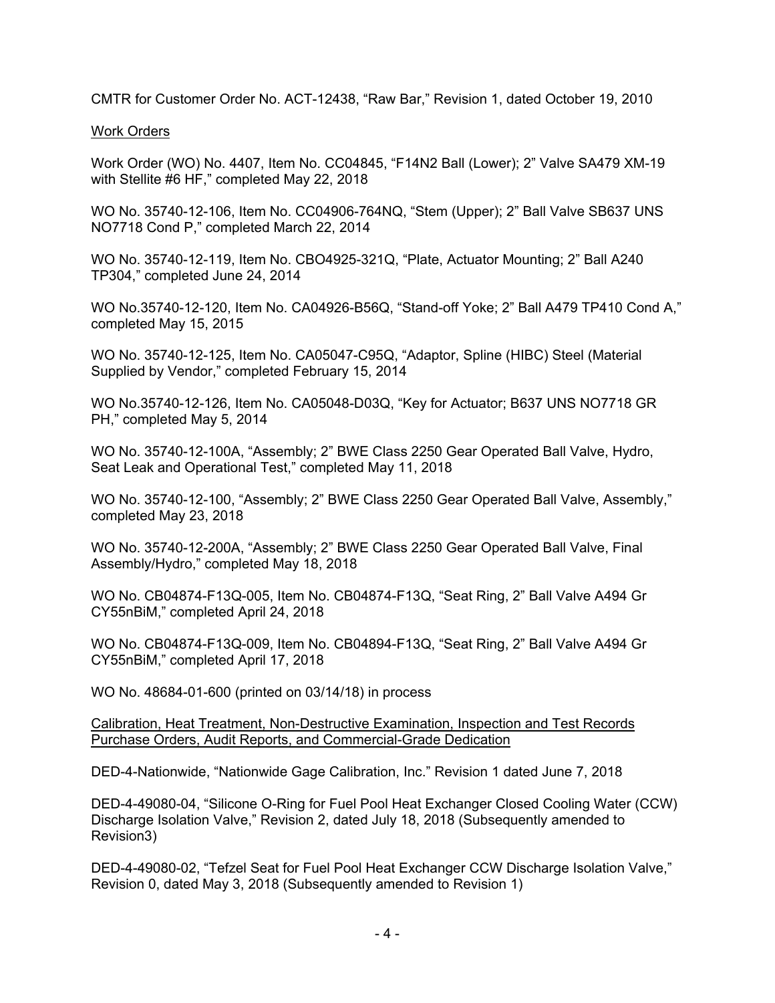CMTR for Customer Order No. ACT-12438, "Raw Bar," Revision 1, dated October 19, 2010

# Work Orders

Work Order (WO) No. 4407, Item No. CC04845, "F14N2 Ball (Lower); 2" Valve SA479 XM-19 with Stellite #6 HF," completed May 22, 2018

WO No. 35740-12-106, Item No. CC04906-764NQ, "Stem (Upper); 2" Ball Valve SB637 UNS NO7718 Cond P," completed March 22, 2014

WO No. 35740-12-119, Item No. CBO4925-321Q, "Plate, Actuator Mounting; 2" Ball A240 TP304," completed June 24, 2014

WO No.35740-12-120, Item No. CA04926-B56Q, "Stand-off Yoke; 2" Ball A479 TP410 Cond A," completed May 15, 2015

WO No. 35740-12-125, Item No. CA05047-C95Q, "Adaptor, Spline (HIBC) Steel (Material Supplied by Vendor," completed February 15, 2014

WO No.35740-12-126, Item No. CA05048-D03Q, "Key for Actuator; B637 UNS NO7718 GR PH," completed May 5, 2014

WO No. 35740-12-100A, "Assembly; 2" BWE Class 2250 Gear Operated Ball Valve, Hydro, Seat Leak and Operational Test," completed May 11, 2018

WO No. 35740-12-100, "Assembly; 2" BWE Class 2250 Gear Operated Ball Valve, Assembly," completed May 23, 2018

WO No. 35740-12-200A, "Assembly; 2" BWE Class 2250 Gear Operated Ball Valve, Final Assembly/Hydro," completed May 18, 2018

WO No. CB04874-F13Q-005, Item No. CB04874-F13Q, "Seat Ring, 2" Ball Valve A494 Gr CY55nBiM," completed April 24, 2018

WO No. CB04874-F13Q-009, Item No. CB04894-F13Q, "Seat Ring, 2" Ball Valve A494 Gr CY55nBiM," completed April 17, 2018

WO No. 48684-01-600 (printed on 03/14/18) in process

Calibration, Heat Treatment, Non-Destructive Examination, Inspection and Test Records Purchase Orders, Audit Reports, and Commercial-Grade Dedication

DED-4-Nationwide, "Nationwide Gage Calibration, Inc." Revision 1 dated June 7, 2018

DED-4-49080-04, "Silicone O-Ring for Fuel Pool Heat Exchanger Closed Cooling Water (CCW) Discharge Isolation Valve," Revision 2, dated July 18, 2018 (Subsequently amended to Revision3)

DED-4-49080-02, "Tefzel Seat for Fuel Pool Heat Exchanger CCW Discharge Isolation Valve," Revision 0, dated May 3, 2018 (Subsequently amended to Revision 1)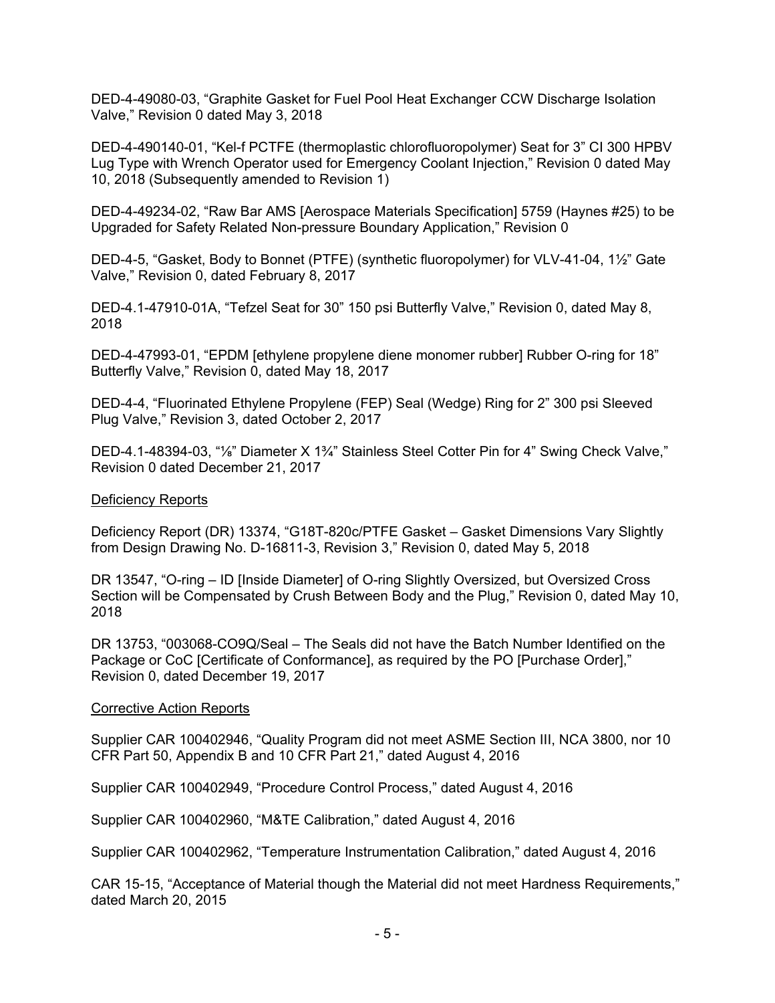DED-4-49080-03, "Graphite Gasket for Fuel Pool Heat Exchanger CCW Discharge Isolation Valve," Revision 0 dated May 3, 2018

DED-4-490140-01, "Kel-f PCTFE (thermoplastic chlorofluoropolymer) Seat for 3" CI 300 HPBV Lug Type with Wrench Operator used for Emergency Coolant Injection," Revision 0 dated May 10, 2018 (Subsequently amended to Revision 1)

DED-4-49234-02, "Raw Bar AMS [Aerospace Materials Specification] 5759 (Haynes #25) to be Upgraded for Safety Related Non-pressure Boundary Application," Revision 0

DED-4-5, "Gasket, Body to Bonnet (PTFE) (synthetic fluoropolymer) for VLV-41-04, 1½" Gate Valve," Revision 0, dated February 8, 2017

DED-4.1-47910-01A, "Tefzel Seat for 30" 150 psi Butterfly Valve," Revision 0, dated May 8, 2018

DED-4-47993-01, "EPDM [ethylene propylene diene monomer rubber] Rubber O-ring for 18" Butterfly Valve," Revision 0, dated May 18, 2017

DED-4-4, "Fluorinated Ethylene Propylene (FEP) Seal (Wedge) Ring for 2" 300 psi Sleeved Plug Valve," Revision 3, dated October 2, 2017

DED-4.1-48394-03, "<sup>1</sup>%" Diameter X 1<sup>3</sup>%" Stainless Steel Cotter Pin for 4" Swing Check Valve," Revision 0 dated December 21, 2017

## Deficiency Reports

Deficiency Report (DR) 13374, "G18T-820c/PTFE Gasket – Gasket Dimensions Vary Slightly from Design Drawing No. D-16811-3, Revision 3," Revision 0, dated May 5, 2018

DR 13547, "O-ring – ID [Inside Diameter] of O-ring Slightly Oversized, but Oversized Cross Section will be Compensated by Crush Between Body and the Plug," Revision 0, dated May 10, 2018

DR 13753, "003068-CO9Q/Seal – The Seals did not have the Batch Number Identified on the Package or CoC [Certificate of Conformance], as required by the PO [Purchase Order]," Revision 0, dated December 19, 2017

#### Corrective Action Reports

Supplier CAR 100402946, "Quality Program did not meet ASME Section III, NCA 3800, nor 10 CFR Part 50, Appendix B and 10 CFR Part 21," dated August 4, 2016

Supplier CAR 100402949, "Procedure Control Process," dated August 4, 2016

Supplier CAR 100402960, "M&TE Calibration," dated August 4, 2016

Supplier CAR 100402962, "Temperature Instrumentation Calibration," dated August 4, 2016

CAR 15-15, "Acceptance of Material though the Material did not meet Hardness Requirements," dated March 20, 2015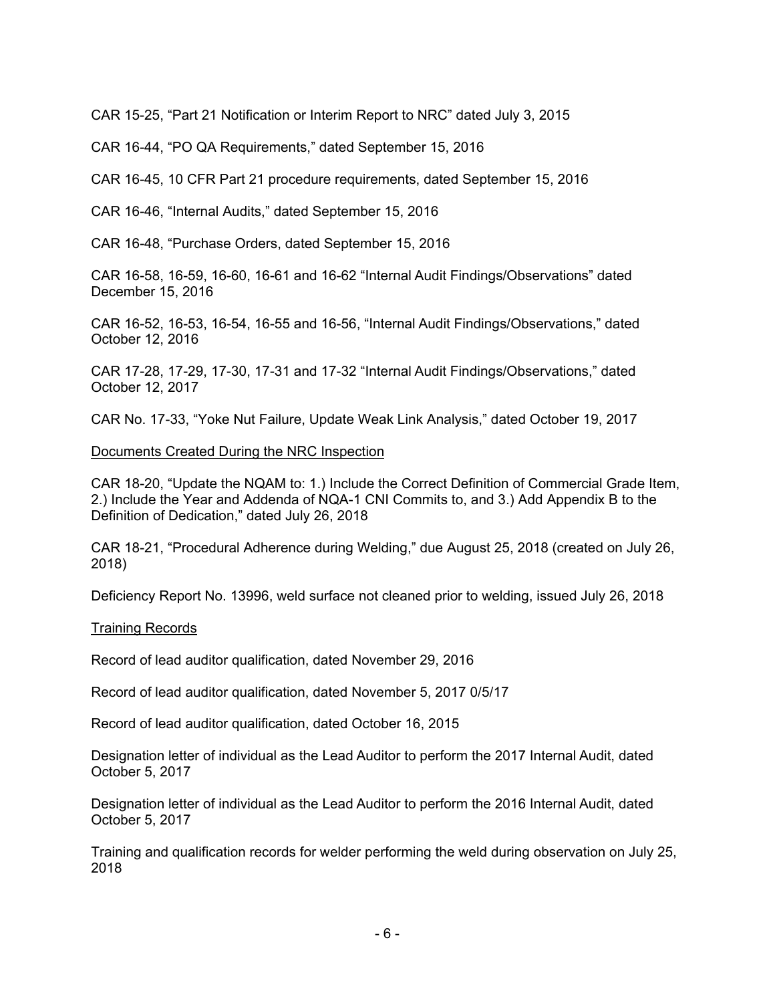CAR 15-25, "Part 21 Notification or Interim Report to NRC" dated July 3, 2015

CAR 16-44, "PO QA Requirements," dated September 15, 2016

CAR 16-45, 10 CFR Part 21 procedure requirements, dated September 15, 2016

CAR 16-46, "Internal Audits," dated September 15, 2016

CAR 16-48, "Purchase Orders, dated September 15, 2016

CAR 16-58, 16-59, 16-60, 16-61 and 16-62 "Internal Audit Findings/Observations" dated December 15, 2016

CAR 16-52, 16-53, 16-54, 16-55 and 16-56, "Internal Audit Findings/Observations," dated October 12, 2016

CAR 17-28, 17-29, 17-30, 17-31 and 17-32 "Internal Audit Findings/Observations," dated October 12, 2017

CAR No. 17-33, "Yoke Nut Failure, Update Weak Link Analysis," dated October 19, 2017

#### Documents Created During the NRC Inspection

CAR 18-20, "Update the NQAM to: 1.) Include the Correct Definition of Commercial Grade Item, 2.) Include the Year and Addenda of NQA-1 CNI Commits to, and 3.) Add Appendix B to the Definition of Dedication," dated July 26, 2018

CAR 18-21, "Procedural Adherence during Welding," due August 25, 2018 (created on July 26, 2018)

Deficiency Report No. 13996, weld surface not cleaned prior to welding, issued July 26, 2018

#### Training Records

Record of lead auditor qualification, dated November 29, 2016

Record of lead auditor qualification, dated November 5, 2017 0/5/17

Record of lead auditor qualification, dated October 16, 2015

Designation letter of individual as the Lead Auditor to perform the 2017 Internal Audit, dated October 5, 2017

Designation letter of individual as the Lead Auditor to perform the 2016 Internal Audit, dated October 5, 2017

Training and qualification records for welder performing the weld during observation on July 25, 2018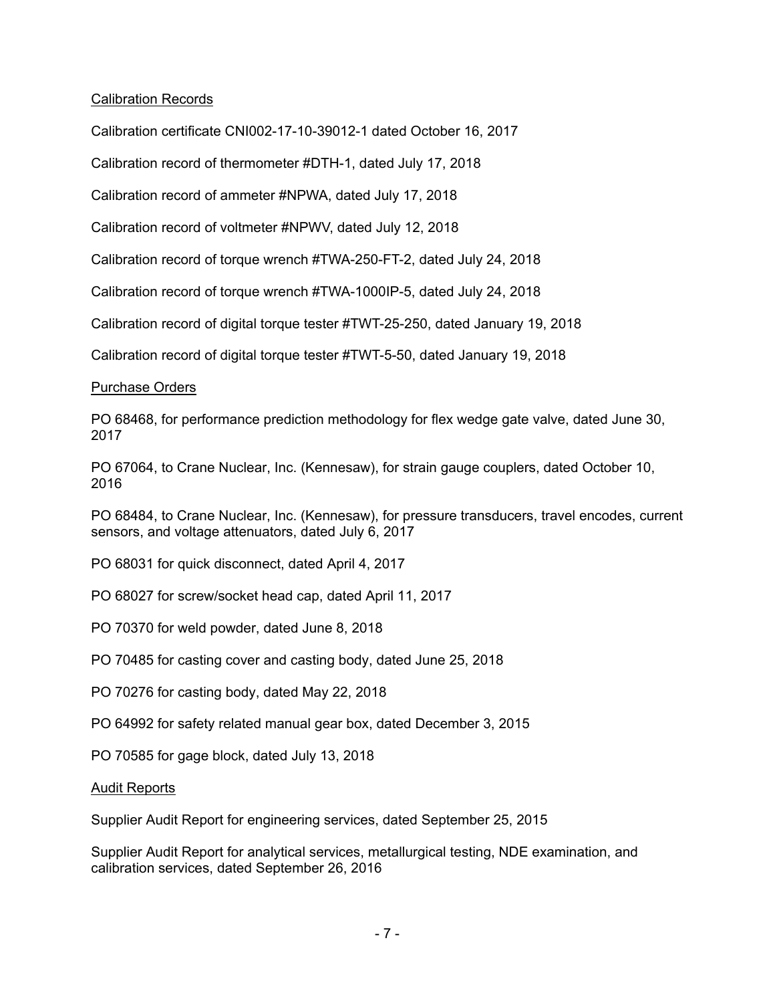# Calibration Records

Calibration certificate CNI002-17-10-39012-1 dated October 16, 2017

Calibration record of thermometer #DTH-1, dated July 17, 2018

Calibration record of ammeter #NPWA, dated July 17, 2018

Calibration record of voltmeter #NPWV, dated July 12, 2018

Calibration record of torque wrench #TWA-250-FT-2, dated July 24, 2018

Calibration record of torque wrench #TWA-1000IP-5, dated July 24, 2018

Calibration record of digital torque tester #TWT-25-250, dated January 19, 2018

Calibration record of digital torque tester #TWT-5-50, dated January 19, 2018

# Purchase Orders

PO 68468, for performance prediction methodology for flex wedge gate valve, dated June 30, 2017

PO 67064, to Crane Nuclear, Inc. (Kennesaw), for strain gauge couplers, dated October 10, 2016

PO 68484, to Crane Nuclear, Inc. (Kennesaw), for pressure transducers, travel encodes, current sensors, and voltage attenuators, dated July 6, 2017

PO 68031 for quick disconnect, dated April 4, 2017

PO 68027 for screw/socket head cap, dated April 11, 2017

PO 70370 for weld powder, dated June 8, 2018

PO 70485 for casting cover and casting body, dated June 25, 2018

PO 70276 for casting body, dated May 22, 2018

PO 64992 for safety related manual gear box, dated December 3, 2015

PO 70585 for gage block, dated July 13, 2018

#### Audit Reports

Supplier Audit Report for engineering services, dated September 25, 2015

Supplier Audit Report for analytical services, metallurgical testing, NDE examination, and calibration services, dated September 26, 2016